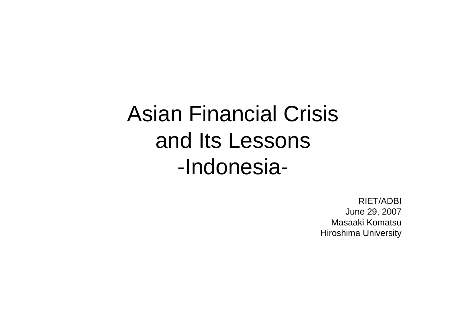# Asian Financial Crisis and Its Lessons -Indonesia-

RIET/ADBI June 29, 2007 Masaaki KomatsuHiroshima University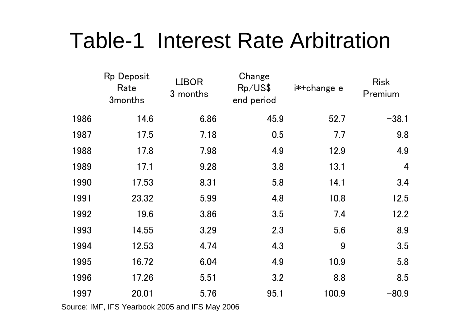# Table-1 Interest Rate Arbitration

|      | <b>Rp Deposit</b><br>Rate<br>3 <sub>months</sub> | <b>LIBOR</b><br>3 months | Change<br>Rp/US\$<br>end period | i*+change e | <b>Risk</b><br>Premium |
|------|--------------------------------------------------|--------------------------|---------------------------------|-------------|------------------------|
| 1986 | 14.6                                             | 6.86                     | 45.9                            | 52.7        | $-38.1$                |
| 1987 | 17.5                                             | 7.18                     | 0.5                             | 7.7         | 9.8                    |
| 1988 | 17.8                                             | 7.98                     | 4.9                             | 12.9        | 4.9                    |
| 1989 | 17.1                                             | 9.28                     | 3.8                             | 13.1        | $\overline{4}$         |
| 1990 | 17.53                                            | 8.31                     | 5.8                             | 14.1        | 3.4                    |
| 1991 | 23.32                                            | 5.99                     | 4.8                             | 10.8        | 12.5                   |
| 1992 | 19.6                                             | 3.86                     | 3.5                             | 7.4         | 12.2                   |
| 1993 | 14.55                                            | 3.29                     | 2.3                             | 5.6         | 8.9                    |
| 1994 | 12.53                                            | 4.74                     | 4.3                             | 9           | 3.5                    |
| 1995 | 16.72                                            | 6.04                     | 4.9                             | 10.9        | 5.8                    |
| 1996 | 17.26                                            | 5.51                     | 3.2                             | 8.8         | 8.5                    |
| 1997 | 20.01                                            | 5.76                     | 95.1                            | 100.9       | $-80.9$                |

Source: IMF, IFS Yearbook 2005 and IFS May 2006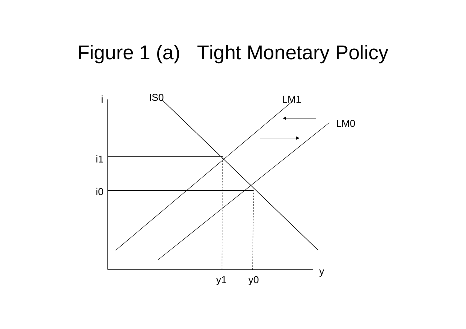## Figure 1 (a) Tight Monetary Policy

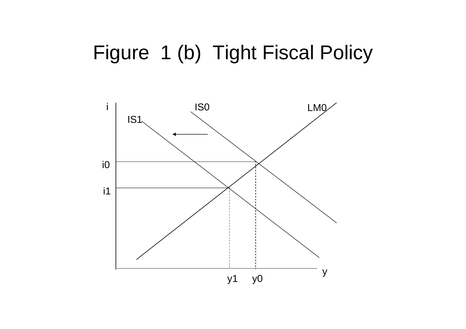## Figure 1 (b) Tight Fiscal Policy

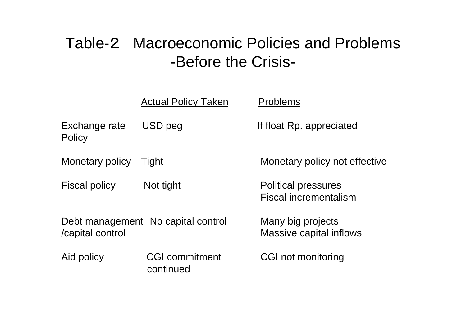### Table-2 Macroeconomic Policies and Problems -Before the Crisis-

|                                | <b>Actual Policy Taken</b>         | <b>Problems</b>                                            |
|--------------------------------|------------------------------------|------------------------------------------------------------|
| Exchange rate<br><b>Policy</b> | USD peg                            | If float Rp. appreciated                                   |
| Monetary policy                | Tight                              | Monetary policy not effective                              |
| <b>Fiscal policy</b>           | Not tight                          | <b>Political pressures</b><br><b>Fiscal incrementalism</b> |
| /capital control               | Debt management No capital control | Many big projects<br>Massive capital inflows               |
| Aid policy                     | <b>CGI commitment</b><br>continued | CGI not monitoring                                         |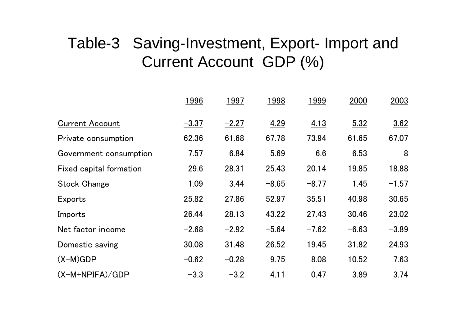### Table-3 Saving-Investment, Export- Import and Current Account GDP (%)

|                         | 1996    | 1997    | 1998    | 1999    | 2000    | 2003    |
|-------------------------|---------|---------|---------|---------|---------|---------|
| <b>Current Account</b>  | $-3.37$ | $-2.27$ | 4.29    | 4.13    | 5.32    | 3.62    |
| Private consumption     | 62.36   | 61.68   | 67.78   | 73.94   | 61.65   | 67.07   |
| Government consumption  | 7.57    | 6.84    | 5.69    | 6.6     | 6.53    | 8       |
| Fixed capital formation | 29.6    | 28.31   | 25.43   | 20.14   | 19.85   | 18.88   |
| <b>Stock Change</b>     | 1.09    | 3.44    | $-8.65$ | $-8.77$ | 1.45    | $-1.57$ |
| Exports                 | 25.82   | 27.86   | 52.97   | 35.51   | 40.98   | 30.65   |
| Imports                 | 26.44   | 28.13   | 43.22   | 27.43   | 30.46   | 23.02   |
| Net factor income       | $-2.68$ | $-2.92$ | $-5.64$ | $-7.62$ | $-6.63$ | $-3.89$ |
| Domestic saving         | 30.08   | 31.48   | 26.52   | 19.45   | 31.82   | 24.93   |
| $(X-M)GDP$              | $-0.62$ | $-0.28$ | 9.75    | 8.08    | 10.52   | 7.63    |
| $(X-M+NPIFA)/GDP$       | $-3.3$  | $-3.2$  | 4.11    | 0.47    | 3.89    | 3.74    |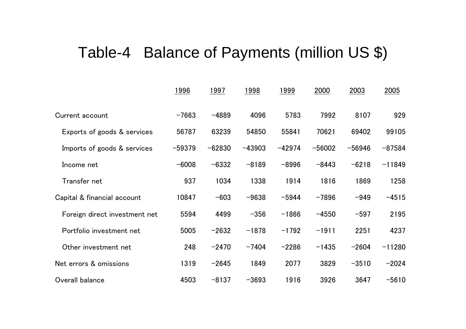#### Table-4 Balance of Payments (million US \$)

|                               | <u>1996</u> | <u> 1997</u> | <u> 1998 </u> | <u>1999</u> | 2000     | 2003     | 2005     |
|-------------------------------|-------------|--------------|---------------|-------------|----------|----------|----------|
| Current account               | $-7663$     | $-4889$      | 4096          | 5783        | 7992     | 8107     | 929      |
| Exports of goods & services   | 56787       | 63239        | 54850         | 55841       | 70621    | 69402    | 99105    |
| Imports of goods & services   | $-59379$    | $-62830$     | $-43903$      | $-42974$    | $-56002$ | $-56946$ | $-87584$ |
| Income net                    | $-6008$     | $-6332$      | $-8189$       | $-8996$     | $-8443$  | $-6218$  | $-11849$ |
| Transfer net                  | 937         | 1034         | 1338          | 1914        | 1816     | 1869     | 1258     |
| Capital & financial account   | 10847       | $-603$       | $-9638$       | $-5944$     | $-7896$  | $-949$   | $-4515$  |
| Foreign direct investment net | 5594        | 4499         | $-356$        | $-1866$     | $-4550$  | $-597$   | 2195     |
| Portfolio investment net      | 5005        | $-2632$      | $-1878$       | $-1792$     | $-1911$  | 2251     | 4237     |
| Other investment net          | 248         | $-2470$      | $-7404$       | $-2286$     | $-1435$  | $-2604$  | $-11280$ |
| Net errors & omissions        | 1319        | $-2645$      | 1849          | 2077        | 3829     | $-3510$  | $-2024$  |
| Overall balance               | 4503        | $-8137$      | $-3693$       | 1916        | 3926     | 3647     | $-5610$  |